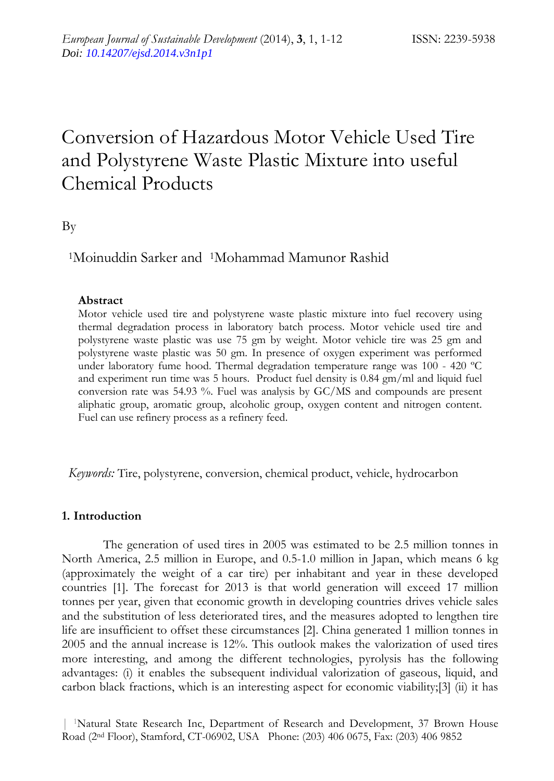# Conversion of Hazardous Motor Vehicle Used Tire and Polystyrene Waste Plastic Mixture into useful Chemical Products

By

1Moinuddin Sarker and 1Mohammad Mamunor Rashid

# **Abstract**

Motor vehicle used tire and polystyrene waste plastic mixture into fuel recovery using thermal degradation process in laboratory batch process. Motor vehicle used tire and polystyrene waste plastic was use 75 gm by weight. Motor vehicle tire was 25 gm and polystyrene waste plastic was 50 gm. In presence of oxygen experiment was performed under laboratory fume hood. Thermal degradation temperature range was 100 - 420 ºC and experiment run time was 5 hours. Product fuel density is 0.84 gm/ml and liquid fuel conversion rate was 54.93 %. Fuel was analysis by GC/MS and compounds are present aliphatic group, aromatic group, alcoholic group, oxygen content and nitrogen content. Fuel can use refinery process as a refinery feed.

*Keywords:* Tire, polystyrene, conversion, chemical product, vehicle, hydrocarbon

# **1. Introduction**

The generation of used tires in 2005 was estimated to be 2.5 million tonnes in North America, 2.5 million in Europe, and 0.5-1.0 million in Japan, which means 6 kg (approximately the weight of a car tire) per inhabitant and year in these developed countries [1]. The forecast for 2013 is that world generation will exceed 17 million tonnes per year, given that economic growth in developing countries drives vehicle sales and the substitution of less deteriorated tires, and the measures adopted to lengthen tire life are insufficient to offset these circumstances [2]. China generated 1 million tonnes in 2005 and the annual increase is 12%. This outlook makes the valorization of used tires more interesting, and among the different technologies, pyrolysis has the following advantages: (i) it enables the subsequent individual valorization of gaseous, liquid, and carbon black fractions, which is an interesting aspect for economic viability;[3] (ii) it has

| 1Natural State Research Inc, Department of Research and Development, 37 Brown House Road (2nd Floor), Stamford, CT-06902, USA Phone: (203) 406 0675, Fax: (203) 406 9852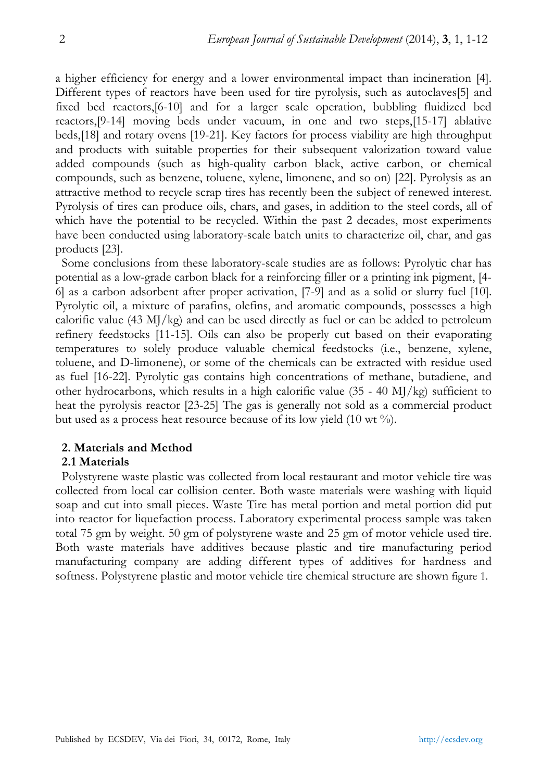a higher efficiency for energy and a lower environmental impact than incineration [4]. Different types of reactors have been used for tire pyrolysis, such as autoclaves[5] and fixed bed reactors,[6-10] and for a larger scale operation, bubbling fluidized bed reactors,[9-14] moving beds under vacuum, in one and two steps,[15-17] ablative beds,[18] and rotary ovens [19-21]. Key factors for process viability are high throughput and products with suitable properties for their subsequent valorization toward value added compounds (such as high-quality carbon black, active carbon, or chemical compounds, such as benzene, toluene, xylene, limonene, and so on) [22]. Pyrolysis as an attractive method to recycle scrap tires has recently been the subject of renewed interest. Pyrolysis of tires can produce oils, chars, and gases, in addition to the steel cords, all of which have the potential to be recycled. Within the past 2 decades, most experiments have been conducted using laboratory-scale batch units to characterize oil, char, and gas products [23].

Some conclusions from these laboratory-scale studies are as follows: Pyrolytic char has potential as a low-grade carbon black for a reinforcing filler or a printing ink pigment, [4- 6] as a carbon adsorbent after proper activation, [7-9] and as a solid or slurry fuel [10]. Pyrolytic oil, a mixture of parafins, olefins, and aromatic compounds, possesses a high calorific value (43 MJ/kg) and can be used directly as fuel or can be added to petroleum refinery feedstocks [11-15]. Oils can also be properly cut based on their evaporating temperatures to solely produce valuable chemical feedstocks (i.e., benzene, xylene, toluene, and D-limonene), or some of the chemicals can be extracted with residue used as fuel [16-22]. Pyrolytic gas contains high concentrations of methane, butadiene, and other hydrocarbons, which results in a high calorific value  $(35 - 40 \text{ M})/\text{kg})$  sufficient to heat the pyrolysis reactor [23-25] The gas is generally not sold as a commercial product but used as a process heat resource because of its low yield (10 wt %).

# **2. Materials and Method**

# **2.1 Materials**

Polystyrene waste plastic was collected from local restaurant and motor vehicle tire was collected from local car collision center. Both waste materials were washing with liquid soap and cut into small pieces. Waste Tire has metal portion and metal portion did put into reactor for liquefaction process. Laboratory experimental process sample was taken total 75 gm by weight. 50 gm of polystyrene waste and 25 gm of motor vehicle used tire. Both waste materials have additives because plastic and tire manufacturing period manufacturing company are adding different types of additives for hardness and softness. Polystyrene plastic and motor vehicle tire chemical structure are shown figure 1.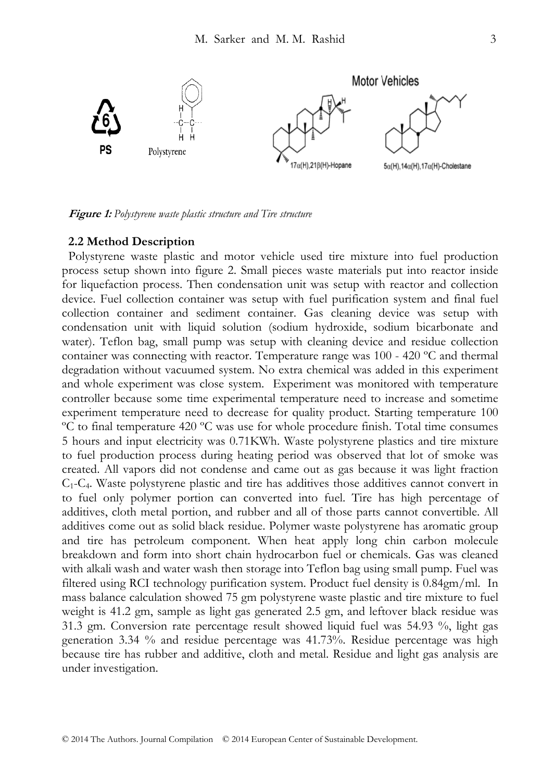

Figure 1: Polystyrene waste plastic structure and Tire structure

#### 2.2 Method Description

Polystyrene waste plastic and motor vehicle used tire mixture into fuel production process setup shown into figure 2. Small pieces waste materials put into reactor inside for liquefaction process. Then condensation unit was setup with reactor and collection device. Fuel collection container was setup with fuel purification system and final fuel collection container and sediment container. Gas cleaning device was setup with condensation unit with liquid solution (sodium hydroxide, sodium bicarbonate and water). Teflon bag, small pump was setup with cleaning device and residue collection container was connecting with reactor. Temperature range was 100 - 420 °C and thermal degradation without vacuumed system. No extra chemical was added in this experiment and whole experiment was close system. Experiment was monitored with temperature controller because some time experimental temperature need to increase and sometime experiment temperature need to decrease for quality product. Starting temperature 100 °C to final temperature 420 °C was use for whole procedure finish. Total time consumes 5 hours and input electricity was 0.71 KWh. Waste polystyrene plastics and tire mixture to fuel production process during heating period was observed that lot of smoke was created. All vapors did not condense and came out as gas because it was light fraction  $C_1$ - $C_4$ . Waste polystyrene plastic and tire has additives those additives cannot convert in to fuel only polymer portion can converted into fuel. Tire has high percentage of additives, cloth metal portion, and rubber and all of those parts cannot convertible. All additives come out as solid black residue. Polymer waste polystyrene has aromatic group and tire has petroleum component. When heat apply long chin carbon molecule breakdown and form into short chain hydrocarbon fuel or chemicals. Gas was cleaned with alkali wash and water wash then storage into Teflon bag using small pump. Fuel was filtered using RCI technology purification system. Product fuel density is 0.84gm/ml. In mass balance calculation showed 75 gm polystyrene waste plastic and tire mixture to fuel weight is 41.2 gm, sample as light gas generated 2.5 gm, and leftover black residue was 31.3 gm. Conversion rate percentage result showed liquid fuel was 54.93 %, light gas generation 3.34 % and residue percentage was 41.73%. Residue percentage was high because tire has rubber and additive, cloth and metal. Residue and light gas analysis are under investigation.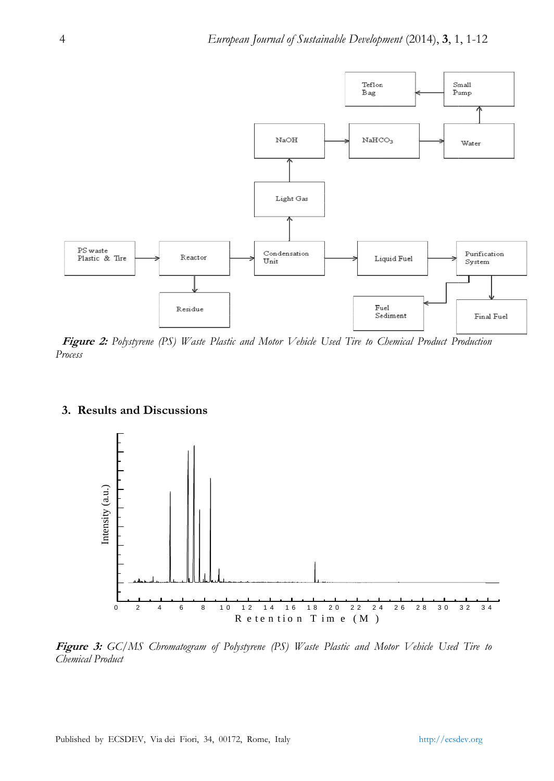

Figure 2: Polystyrene (PS) Waste Plastic and Motor Vehicle Used Tire to Chemical Product Production Process

# 3. Results and Discussions



Figure 3: GC/MS Chromatogram of Polystyrene (PS) Waste Plastic and Motor Vehicle Used Tire to Chemical Product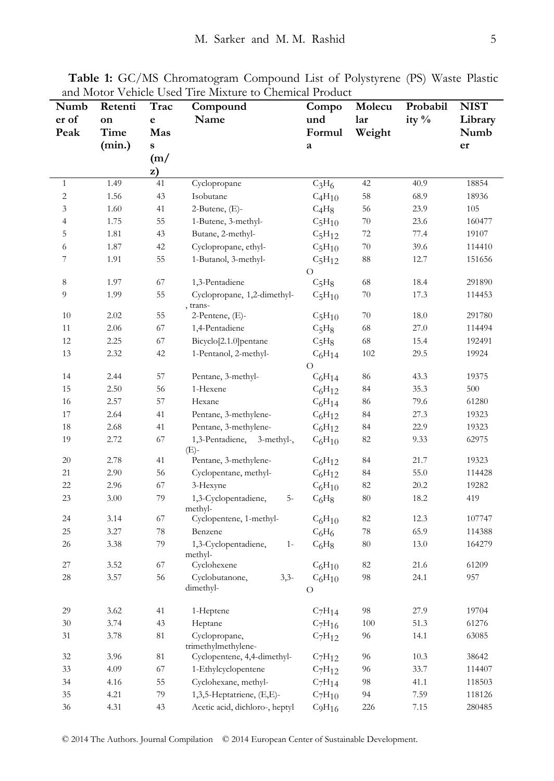| Numb                     | Retenti | Trac   | Compound                                | Compo       | Molecu | Probabil | <b>NIST</b> |
|--------------------------|---------|--------|-----------------------------------------|-------------|--------|----------|-------------|
| er of                    | on      | e      | Name                                    | und         | lar    | ity %    | Library     |
| Peak                     | Time    | Mas    |                                         | Formul      | Weight |          | Numb        |
|                          | (min.)  | S      |                                         | a           |        |          | er          |
|                          |         | (m/    |                                         |             |        |          |             |
|                          |         | z)     |                                         |             |        |          |             |
| $\mathbf{1}$             | 1.49    | 41     | Cyclopropane                            | $C_3H_6$    | 42     | 40.9     | 18854       |
| $\overline{c}$           | 1.56    | 43     | Isobutane                               | $C_4H_{10}$ | 58     | 68.9     | 18936       |
| $\mathfrak z$            | 1.60    | 41     | $2$ -Butene, $(E)$ -                    | $C_4H_8$    | 56     | 23.9     | 105         |
| $\overline{\mathcal{L}}$ | 1.75    | 55     | 1-Butene, 3-methyl-                     | $C_5H_{10}$ | 70     | 23.6     | 160477      |
| 5                        | 1.81    | 43     | Butane, 2-methyl-                       | $C_5H_{12}$ | 72     | 77.4     | 19107       |
| 6                        | 1.87    | 42     | Cyclopropane, ethyl-                    | $C_5H_{10}$ | 70     | 39.6     | 114410      |
| 7                        | 1.91    | 55     | 1-Butanol, 3-methyl-                    | $C_5H_{12}$ | 88     | 12.7     | 151656      |
|                          |         |        |                                         | $\circ$     |        |          |             |
| 8                        | 1.97    | 67     | 1,3-Pentadiene                          | $C_5H_8$    | 68     | 18.4     | 291890      |
| 9                        | 1.99    | 55     | Cyclopropane, 1,2-dimethyl-<br>, trans- | $C_5H_{10}$ | 70     | 17.3     | 114453      |
| 10                       | 2.02    | 55     | 2-Pentene, (E)-                         | $C_5H_{10}$ | 70     | 18.0     | 291780      |
| 11                       | 2.06    | 67     | 1,4-Pentadiene                          | $C_5H_8$    | 68     | 27.0     | 114494      |
| 12                       | 2.25    | 67     | Bicyclo[2.1.0] pentane                  | $C_5H_8$    | 68     | 15.4     | 192491      |
| 13                       | 2.32    | 42     | 1-Pentanol, 2-methyl-                   | $C_6H_{14}$ | 102    | 29.5     | 19924       |
|                          |         |        |                                         | $\Omega$    |        |          |             |
| 14                       | 2.44    | 57     | Pentane, 3-methyl-                      | $C_6H_{14}$ | 86     | 43.3     | 19375       |
| 15                       | 2.50    | 56     | 1-Hexene                                | $C_6H_{12}$ | 84     | 35.3     | 500         |
| 16                       | 2.57    | 57     | Hexane                                  | $C_6H_{14}$ | 86     | 79.6     | 61280       |
| 17                       | 2.64    | 41     | Pentane, 3-methylene-                   | $C_6H_{12}$ | 84     | 27.3     | 19323       |
| 18                       | 2.68    | 41     | Pentane, 3-methylene-                   | $C_6H_{12}$ | 84     | 22.9     | 19323       |
| 19                       | 2.72    | 67     | 1,3-Pentadiene, 3-methyl-,              | $C_6H_{10}$ | 82     | 9.33     | 62975       |
|                          |         |        | (E)-                                    |             |        |          |             |
| 20                       | 2.78    | 41     | Pentane, 3-methylene-                   | $C_6H_{12}$ | 84     | 21.7     | 19323       |
| 21                       | 2.90    | 56     | Cyclopentane, methyl-                   | $C_6H_{12}$ | 84     | 55.0     | 114428      |
| 22                       | 2.96    | 67     | 3-Hexyne                                | $C_6H_{10}$ | 82     | 20.2     | 19282       |
| 23                       | 3.00    | 79     | $5-$<br>1,3-Cyclopentadiene,            | $C_6H_8$    | 80     | 18.2     | 419         |
| 24                       | 3.14    | 67     | methyl-<br>Cyclopentene, 1-methyl-      | $C_6H_{10}$ | 82     | 12.3     | 107747      |
| 25                       | 3.27    | 78     | Benzene                                 | $C_6H_6$    | 78     | 65.9     | 114388      |
| 26                       | 3.38    | 79     | 1,3-Cyclopentadiene,<br>$1-$            | $C_6H_8$    | 80     | 13.0     | 164279      |
|                          |         |        | methyl-                                 |             |        |          |             |
| 27                       | 3.52    | 67     | Cyclohexene                             | $C_6H_{10}$ | 82     | 21.6     | 61209       |
| 28                       | 3.57    | 56     | Cyclobutanone,<br>$3,3-$                | $C_6H_{10}$ | 98     | 24.1     | 957         |
|                          |         |        | dimethyl-                               | O           |        |          |             |
| 29                       | 3.62    | 41     |                                         | $C_7H_{14}$ | 98     | 27.9     | 19704       |
| 30                       | 3.74    | 43     | 1-Heptene                               | $C_7H_{16}$ | 100    | 51.3     | 61276       |
| 31                       | 3.78    | $81\,$ | Heptane                                 |             | 96     | 14.1     | 63085       |
|                          |         |        | Cyclopropane,<br>trimethylmethylene-    | $C_7H_{12}$ |        |          |             |
| 32                       | 3.96    | 81     | Cyclopentene, 4,4-dimethyl-             | $C_7H_{12}$ | 96     | 10.3     | 38642       |
| 33                       | 4.09    | 67     | 1-Ethylcyclopentene                     | $C_7H_{12}$ | 96     | 33.7     | 114407      |
| 34                       | 4.16    | 55     | Cyclohexane, methyl-                    | $C_7H_{14}$ | 98     | 41.1     | 118503      |
| 35                       | 4.21    | 79     | 1,3,5-Heptatriene, (E,E)-               | $C_7H_{10}$ | 94     | 7.59     | 118126      |
| 36                       | 4.31    | 43     | Acetic acid, dichloro-, heptyl          | $C_9H_{16}$ | 226    | 7.15     | 280485      |

**Table 1:** GC/MS Chromatogram Compound List of Polystyrene (PS) Waste Plastic and Motor Vehicle Used Tire Mixture to Chemical Product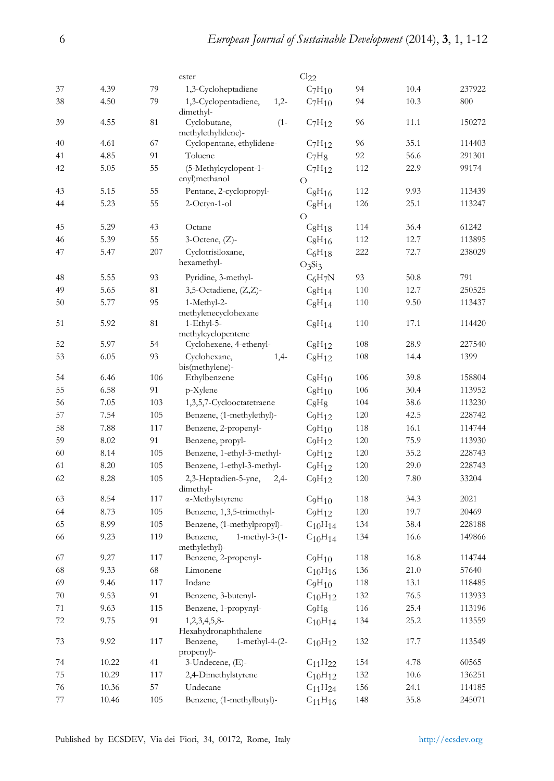|    |       |     | ester                                                      | Cl <sub>22</sub>               |     |          |        |
|----|-------|-----|------------------------------------------------------------|--------------------------------|-----|----------|--------|
| 37 | 4.39  | 79  | 1,3-Cycloheptadiene                                        | $C_7H_{10}$                    | 94  | 10.4     | 237922 |
| 38 | 4.50  | 79  | 1,3-Cyclopentadiene,<br>$1,2-$<br>dimethyl-                | $C_7H_{10}$                    | 94  | 10.3     | 800    |
| 39 | 4.55  | 81  | Cyclobutane,<br>$(1 -$<br>methylethylidene)-               | $C_7H_{12}$                    | 96  | 11.1     | 150272 |
| 40 | 4.61  | 67  | Cyclopentane, ethylidene-                                  | $C_7H_{12}$                    | 96  | 35.1     | 114403 |
| 41 | 4.85  | 91  | Toluene                                                    | C <sub>7</sub> H <sub>8</sub>  | 92  | 56.6     | 291301 |
| 42 | 5.05  | 55  | (5-Methylcyclopent-1-<br>enyl)methanol                     | $C_7H_{12}$<br>$\Omega$        | 112 | 22.9     | 99174  |
| 43 | 5.15  | 55  | Pentane, 2-cyclopropyl-                                    | $C_8H_{16}$                    | 112 | 9.93     | 113439 |
| 44 | 5.23  | 55  | $2$ -Octyn-1-ol                                            | $C_8H_{14}$<br>$\Omega$        | 126 | 25.1     | 113247 |
| 45 | 5.29  | 43  | Octane                                                     | $C_8H_{18}$                    | 114 | 36.4     | 61242  |
| 46 | 5.39  | 55  | $3$ -Octene, $(Z)$ -                                       | $C_8H_{16}$                    | 112 | 12.7     | 113895 |
| 47 | 5.47  | 207 | Cyclotrisiloxane,                                          | $C_6H_{18}$                    | 222 | 72.7     | 238029 |
|    |       |     | hexamethyl-                                                | $O_3Si_3$                      |     |          |        |
| 48 | 5.55  | 93  | Pyridine, 3-methyl-                                        | $C_6H_7N$                      | 93  | 50.8     | 791    |
| 49 | 5.65  | 81  | 3,5-Octadiene, (Z,Z)-                                      | $C_8H_{14}$                    | 110 | 12.7     | 250525 |
| 50 | 5.77  | 95  | 1-Methyl-2-                                                | $C_8H_{14}$                    | 110 | 9.50     | 113437 |
| 51 | 5.92  | 81  | methylenecyclohexane<br>$1-Ethyl-5-$<br>methylcyclopentene | $C_8H_{14}$                    | 110 | 17.1     | 114420 |
| 52 | 5.97  | 54  | Cyclohexene, 4-ethenyl-                                    | $C_8H_{12}$                    | 108 | 28.9     | 227540 |
| 53 | 6.05  | 93  | Cyclohexane,<br>$1,4-$                                     | $C_8H_{12}$                    | 108 | 14.4     | 1399   |
|    |       |     | bis(methylene)-                                            |                                |     |          |        |
| 54 | 6.46  | 106 | Ethylbenzene                                               | $C_8H_{10}$                    | 106 | 39.8     | 158804 |
| 55 | 6.58  | 91  | p-Xylene                                                   | $C_8H_{10}$                    | 106 | 30.4     | 113952 |
| 56 | 7.05  | 103 | 1,3,5,7-Cyclooctatetraene                                  | $C_8H_8$                       | 104 | 38.6     | 113230 |
| 57 | 7.54  | 105 | Benzene, (1-methylethyl)-                                  | C <sub>9</sub> H <sub>12</sub> | 120 | 42.5     | 228742 |
| 58 | 7.88  | 117 | Benzene, 2-propenyl-                                       | C <sub>9</sub> H <sub>10</sub> | 118 | 16.1     | 114744 |
| 59 | 8.02  | 91  | Benzene, propyl-                                           | C <sub>9</sub> H <sub>12</sub> | 120 | 75.9     | 113930 |
| 60 | 8.14  | 105 | Benzene, 1-ethyl-3-methyl-                                 | C <sub>9</sub> H <sub>12</sub> | 120 | 35.2     | 228743 |
| 61 | 8.20  | 105 | Benzene, 1-ethyl-3-methyl-                                 | C <sub>9</sub> H <sub>12</sub> | 120 | 29.0     | 228743 |
| 62 | 8.28  | 105 | 2,3-Heptadien-5-yne,<br>$2,4-$<br>dimethyl-                | C <sub>9</sub> H <sub>12</sub> | 120 | 7.80     | 33204  |
| 63 | 8.54  | 117 | α-Methylstyrene                                            | C <sub>9</sub> H <sub>10</sub> | 118 | 34.3     | 2021   |
| 64 | 8.73  | 105 | Benzene, 1,3,5-trimethyl-                                  | C <sub>9</sub> H <sub>12</sub> | 120 | 19.7     | 20469  |
| 65 | 8.99  | 105 | Benzene, (1-methylpropyl)-                                 | $C_{10}H_{14}$                 | 134 | 38.4     | 228188 |
| 66 | 9.23  | 119 | Benzene,<br>$1$ -methyl-3- $(1 -$<br>methylethyl)-         | $C_{10}H_{14}$                 | 134 | 16.6     | 149866 |
| 67 | 9.27  | 117 | Benzene, 2-propenyl-                                       | C <sub>9</sub> H <sub>10</sub> | 118 | 16.8     | 114744 |
| 68 | 9.33  | 68  | Limonene                                                   | $C_{10}H_{16}$                 | 136 | 21.0     | 57640  |
| 69 | 9.46  | 117 | Indane                                                     | C <sub>9</sub> H <sub>10</sub> | 118 | 13.1     | 118485 |
| 70 | 9.53  | 91  | Benzene, 3-butenyl-                                        | $C_{10}H_{12}$                 | 132 | 76.5     | 113933 |
| 71 | 9.63  | 115 | Benzene, 1-propynyl-                                       | C <sub>9</sub> H <sub>8</sub>  | 116 | 25.4     | 113196 |
| 72 | 9.75  | 91  | $1,2,3,4,5,8$ -<br>Hexahydronaphthalene                    | $C_{10}H_{14}$                 | 134 | 25.2     | 113559 |
| 73 | 9.92  | 117 | Benzene,<br>$1$ -methyl-4- $(2-$<br>propenyl)-             | $C_{10}H_{12}$                 | 132 | 17.7     | 113549 |
| 74 | 10.22 | 41  | 3-Undecene, (E)-                                           | $C_{11}H_{22}$                 | 154 | 4.78     | 60565  |
| 75 | 10.29 | 117 | 2,4-Dimethylstyrene                                        | $C_{10}H_{12}$                 | 132 | $10.6\,$ | 136251 |
| 76 | 10.36 | 57  | Undecane                                                   | $C_{11}H_{24}$                 | 156 | 24.1     | 114185 |
| 77 | 10.46 | 105 | Benzene, (1-methylbutyl)-                                  | $C_{11}H_{16}$                 | 148 | 35.8     | 245071 |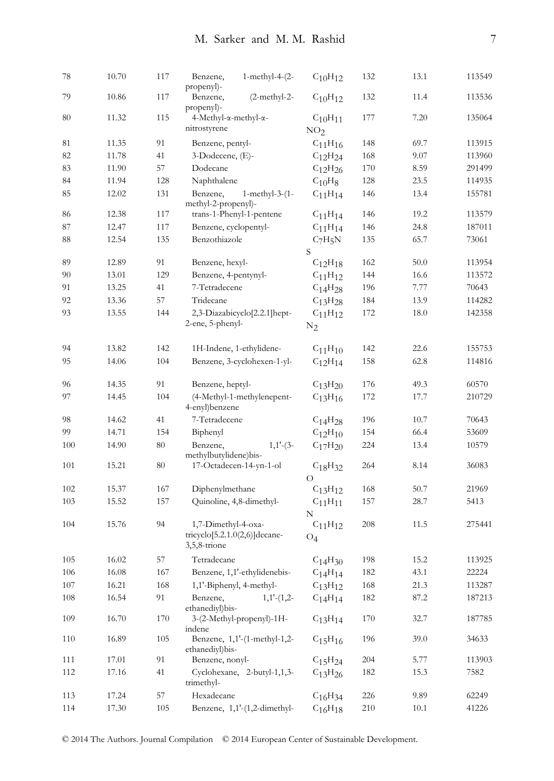| 78       | 10.70          | 117 | Benzene,<br>$1$ -methyl-4- $(2-$<br>propenyl)-           | $C_{10}H_{12}$                  | 132     | 13.1         | 113549 |
|----------|----------------|-----|----------------------------------------------------------|---------------------------------|---------|--------------|--------|
| 79       | 10.86          | 117 | Benzene,<br>$(2-methyl-2-$<br>propenyl)-                 | $C_{10}H_{12}$                  | 132     | 11.4         | 113536 |
| 80       | 11.32          | 115 | 4-Methyl-α-methyl-α-<br>nitrostyrene                     | $C_{10}H_{11}$                  | 177     | 7.20         | 135064 |
|          |                |     |                                                          | NO <sub>2</sub>                 |         |              | 113915 |
| 81<br>82 | 11.35<br>11.78 | 91  | Benzene, pentyl-                                         | $C_{11}H_{16}$                  | 148     | 69.7<br>9.07 |        |
|          |                | 41  | 3-Dodecene, (E)-                                         | $C_{12}H_{24}$                  | 168     |              | 113960 |
| 83       | 11.90          | 57  | Dodecane                                                 | $C_{12}H_{26}$                  | 170     | 8.59         | 291499 |
| 84       | 11.94          | 128 | Naphthalene                                              | $C_{10}H_8$                     | 128     | 23.5         | 114935 |
| 85       | 12.02          | 131 | Benzene,<br>$1$ -methyl-3- $(1 -$<br>methyl-2-propenyl)- | $C_{11}H_{14}$                  | 146     | 13.4         | 155781 |
| 86       | 12.38          | 117 | trans-1-Phenyl-1-pentene                                 | $C_{11}H_{14}$                  | 146     | 19.2         | 113579 |
| 87       | 12.47          | 117 | Benzene, cyclopentyl-                                    | $C_{11}H_{14}$                  | 146     | 24.8         | 187011 |
| 88       | 12.54          | 135 | Benzothiazole                                            | $C_7H_5N$<br>S                  | 135     | 65.7         | 73061  |
| 89       | 12.89          | 91  | Benzene, hexyl-                                          | $C_{12}H_{18}$                  | 162     | 50.0         | 113954 |
| 90       | 13.01          | 129 | Benzene, 4-pentynyl-                                     | $C_{11}H_{12}$                  | 144     | 16.6         | 113572 |
| 91       | 13.25          | 41  | 7-Tetradecene                                            | $C_{14}H_{28}$                  | 196     | 7.77         | 70643  |
| 92       | 13.36          | 57  | Tridecane                                                | C <sub>13</sub> H <sub>28</sub> | 184     | 13.9         | 114282 |
| 93       | 13.55          | 144 | 2,3-Diazabicyclo[2.2.1]hept-                             | $C_{11}H_{12}$                  | 172     | 18.0         | 142358 |
|          |                |     | 2-ene, 5-phenyl-                                         | $\rm N_2$                       |         |              |        |
| 94       | 13.82          | 142 | 1H-Indene, 1-ethylidene-                                 | $C_{11}H_{10}$                  | 142     | 22.6         | 155753 |
| 95       | 14.06          | 104 | Benzene, 3-cyclohexen-1-yl-                              | $C_{12}H_{14}$                  | 158     | 62.8         | 114816 |
| 96       | 14.35          | 91  | Benzene, heptyl-                                         | $C_{13}H_{20}$                  | 176     | 49.3         | 60570  |
| 97       | 14.45          | 104 | (4-Methyl-1-methylenepent-<br>4-enyl)benzene             | $C_{13}H_{16}$                  | 172     | 17.7         | 210729 |
| 98       | 14.62          | 41  | 7-Tetradecene                                            | $C_{14}H_{28}$                  | 196     | 10.7         | 70643  |
| 99       | 14.71          | 154 | Biphenyl                                                 | $C_{12}H_{10}$                  | 154     | 66.4         | 53609  |
| 100      | 14.90          | 80  | Benzene,<br>$1,1'$ - $(3-$<br>methylbutylidene)bis-      | $C_{17}H_{20}$                  | 224     | 13.4         | 10579  |
| 101      | 15.21          | 80  | 17-Octadecen-14-yn-1-ol                                  | $C_{18}H_{32}$<br>$\Omega$      | 264     | 8.14         | 36083  |
| 102      | 15.37          | 167 | Diphenylmethane                                          | $C_{13}H_{12}$                  | 168     | 50.7         | 21969  |
| 103      | 15.52          | 157 | Quinoline, 4,8-dimethyl-                                 | $C_{11}H_{11}$                  | 157     | 28.7         | 5413   |
|          |                |     |                                                          | N                               |         |              |        |
| 104      | 15.76          | 94  | 1,7-Dimethyl-4-oxa-                                      | $C_{11}H_{12}$                  | 208     | 11.5         | 275441 |
|          |                |     | $tricyclo[5.2.1.0(2,6)]$ decane-<br>$3,5,8$ -trione      | $O_4$                           |         |              |        |
| 105      | 16.02          | 57  | Tetradecane                                              | $C_{14}H_{30}$                  | 198     | 15.2         | 113925 |
| 106      | 16.08          | 167 | Benzene, 1,1'-ethylidenebis-                             | $C_{14}H_{14}$                  | 182     | 43.1         | 22224  |
| 107      | 16.21          | 168 | 1,1'-Biphenyl, 4-methyl-                                 | $C_{13}H_{12}$                  | $168\,$ | 21.3         | 113287 |
| 108      | 16.54          | 91  | $1,1'$ - $(1,2$ -<br>Benzene,<br>ethanediyl)bis-         | $C_{14}H_{14}$                  | 182     | 87.2         | 187213 |
| 109      | 16.70          | 170 | 3-(2-Methyl-propenyl)-1H-<br>indene                      | $C_{13}H_{14}$                  | 170     | 32.7         | 187785 |
| 110      | 16.89          | 105 | Benzene, 1,1'-(1-methyl-1,2-<br>ethanediyl)bis-          | $C_{15}H_{16}$                  | 196     | 39.0         | 34633  |
| 111      | 17.01          | 91  | Benzene, nonyl-                                          | C <sub>15</sub> H <sub>24</sub> | 204     | 5.77         | 113903 |
| 112      | 17.16          | 41  | Cyclohexane, 2-butyl-1,1,3-<br>trimethyl-                | $C_{13}H_{26}$                  | 182     | 15.3         | 7582   |
| 113      | 17.24          | 57  | Hexadecane                                               | $C_{16}H_{34}$                  | 226     | 9.89         | 62249  |
| 114      | 17.30          | 105 | Benzene, 1,1'-(1,2-dimethyl-                             | $C_{16}H_{18}$                  | 210     | $10.1\,$     | 41226  |
|          |                |     |                                                          |                                 |         |              |        |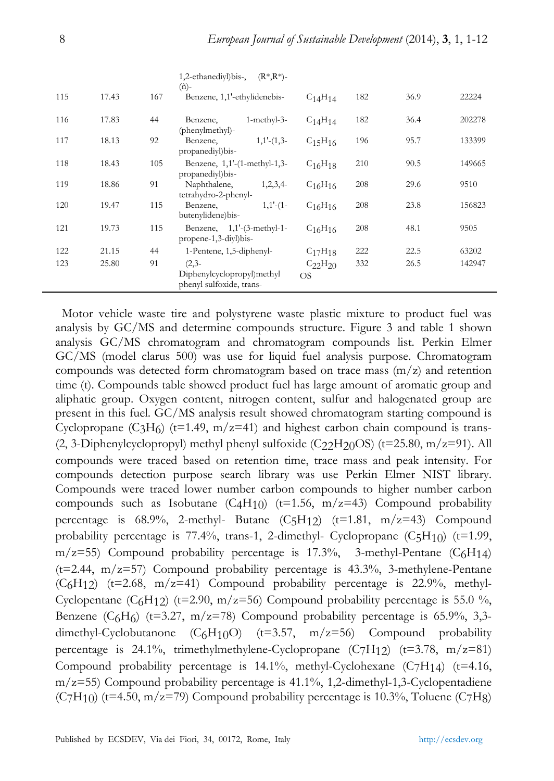|     |       |     | 1,2-ethanediyl)bis-,<br>$(R^*, R^*)$ -                            |                             |     |      |        |
|-----|-------|-----|-------------------------------------------------------------------|-----------------------------|-----|------|--------|
| 115 | 17.43 | 167 | $(\tilde{n})$ -<br>Benzene, 1,1'-ethylidenebis-                   | $C_{14}H_{14}$              | 182 | 36.9 | 22224  |
| 116 | 17.83 | 44  | 1-methyl-3-<br>Benzene,<br>(phenylmethyl)-                        | $C_{14}H_{14}$              | 182 | 36.4 | 202278 |
| 117 | 18.13 | 92  | $1,1'$ - $(1,3$ -<br>Benzene,<br>propanediyl) bis-                | $C_{15}H_{16}$              | 196 | 95.7 | 133399 |
| 118 | 18.43 | 105 | Benzene, $1,1'$ - $(1$ -methyl- $1,3$ -<br>propanediyl) bis-      | $C_{16}H_{18}$              | 210 | 90.5 | 149665 |
| 119 | 18.86 | 91  | Naphthalene,<br>1,2,3,4<br>tetrahydro-2-phenyl-                   | $C_{16}H_{16}$              | 208 | 29.6 | 9510   |
| 120 | 19.47 | 115 | $1,1'$ - $(1-$<br>Benzene,<br>butenylidene) bis-                  | $C_{16}H_{16}$              | 208 | 23.8 | 156823 |
| 121 | 19.73 | 115 | Benzene, $1,1'$ - $(3$ -methyl-1-<br>propene-1,3-diyl)bis-        | $C_{16}H_{16}$              | 208 | 48.1 | 9505   |
| 122 | 21.15 | 44  | 1-Pentene, 1,5-diphenyl-                                          | $C_{17}H_{18}$              | 222 | 22.5 | 63202  |
| 123 | 25.80 | 91  | $(2,3-$<br>Diphenylcyclopropyl)methyl<br>phenyl sulfoxide, trans- | $C_{22}H_{20}$<br><b>OS</b> | 332 | 26.5 | 142947 |

Motor vehicle waste tire and polystyrene waste plastic mixture to product fuel was analysis by GC/MS and determine compounds structure. Figure 3 and table 1 shown analysis GC/MS chromatogram and chromatogram compounds list. Perkin Elmer GC/MS (model clarus 500) was use for liquid fuel analysis purpose. Chromatogram compounds was detected form chromatogram based on trace mass  $(m/z)$  and retention time (t). Compounds table showed product fuel has large amount of aromatic group and aliphatic group. Oxygen content, nitrogen content, sulfur and halogenated group are present in this fuel. GC/MS analysis result showed chromatogram starting compound is Cyclopropane (C<sub>3</sub>H<sub>6</sub>) (t=1.49, m/z=41) and highest carbon chain compound is trans-(2, 3-Diphenylcyclopropyl) methyl phenyl sulfoxide (C $22H20OS$ ) (t=25.80, m/z=91). All compounds were traced based on retention time, trace mass and peak intensity. For compounds detection purpose search library was use Perkin Elmer NIST library. Compounds were traced lower number carbon compounds to higher number carbon compounds such as Isobutane (C4H10) ( $t=1.56$ ,  $m/z=43$ ) Compound probability percentage is  $68.9\%$ , 2-methyl- Butane  $(C_5H_{12})$   $(t=1.81, m/z=43)$  Compound probability percentage is  $77.4\%$ , trans-1, 2-dimethyl- Cyclopropane  $(C_5H_{10})$  (t=1.99,  $m/z=55$ ) Compound probability percentage is 17.3%, 3-methyl-Pentane (C6H14)  $(t=2.44, m/z=57)$  Compound probability percentage is 43.3%, 3-methylene-Pentane  $(C_6H_12)$  (t=2.68, m/z=41) Compound probability percentage is 22.9%, methyl-Cyclopentane (C<sub>6</sub>H<sub>12</sub>) (t=2.90, m/z=56) Compound probability percentage is 55.0 %, Benzene  $(C_6H_6)$  (t=3.27, m/z=78) Compound probability percentage is 65.9%, 3,3dimethyl-Cyclobutanone  $(C_6H_{10}O)$  (t=3.57, m/z=56) Compound probability percentage is 24.1%, trimethylmethylene-Cyclopropane  $(C7H12)$  (t=3.78, m/z=81) Compound probability percentage is  $14.1\%$ , methyl-Cyclohexane (C7H14) (t=4.16,  $m/z=55$ ) Compound probability percentage is 41.1%, 1,2-dimethyl-1,3-Cyclopentadiene  $(C7H<sub>10</sub>)$  (t=4.50, m/z=79) Compound probability percentage is 10.3%, Toluene (C7H8)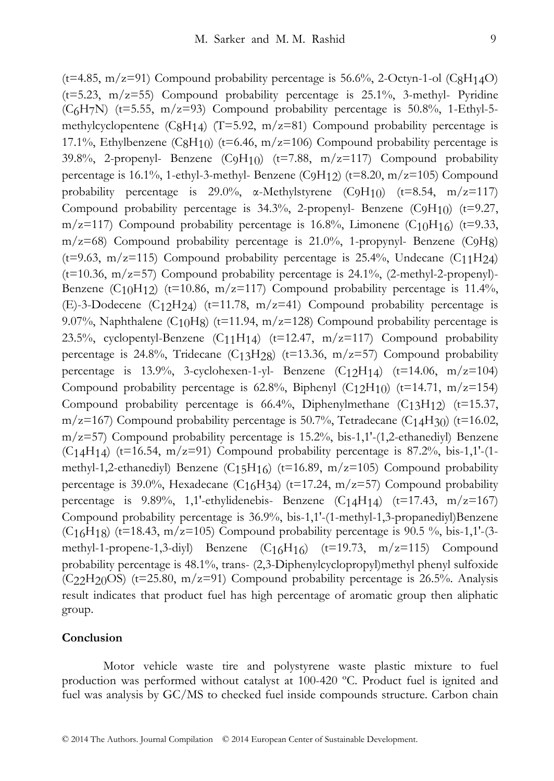$(t=4.85, m/z=91)$  Compound probability percentage is 56.6%, 2-Octyn-1-ol (C<sub>8</sub>H<sub>14</sub>O) ( $t=5.23$ ,  $m/z=55$ ) Compound probability percentage is 25.1%, 3-methyl- Pyridine  $(C<sub>6</sub>H<sub>7</sub>N)$  (t=5.55, m/z=93) Compound probability percentage is 50.8%, 1-Ethyl-5methylcyclopentene (C<sub>8</sub>H<sub>14</sub>) (T=5.92, m/z=81) Compound probability percentage is 17.1%, Ethylbenzene (C8H<sub>10</sub>) (t=6.46, m/z=106) Compound probability percentage is 39.8%, 2-propenyl- Benzene  $(C_9H_{10})$  (t=7.88, m/z=117) Compound probability percentage is 16.1%, 1-ethyl-3-methyl- Benzene (C9H<sub>12</sub>) (t=8.20, m/z=105) Compound probability percentage is 29.0%,  $\alpha$ -Methylstyrene (C9H<sub>10</sub>) (t=8.54, m/z=117) Compound probability percentage is  $34.3\%$ , 2-propenyl- Benzene (C9H<sub>10</sub>) (t=9.27, m/z=117) Compound probability percentage is 16.8%, Limonene  $(C_{10}H_{16})$  (t=9.33,  $m/z=68$ ) Compound probability percentage is 21.0%, 1-propynyl- Benzene (C9H8) (t=9.63, m/z=115) Compound probability percentage is 25.4%, Undecane  $(C_{11}H_{24})$ ( $t=10.36$ ,  $m/z=57$ ) Compound probability percentage is 24.1%, (2-methyl-2-propenyl)-Benzene  $(C_{10}H_{12})$  (t=10.86, m/z=117) Compound probability percentage is 11.4%, (E)-3-Dodecene (C12H24) (t=11.78, m/z=41) Compound probability percentage is 9.07%, Naphthalene (C<sub>10</sub>H<sub>8</sub>) (t=11.94, m/z=128) Compound probability percentage is 23.5%, cyclopentyl-Benzene  $(C_{11}H_{14})$  (t=12.47, m/z=117) Compound probability percentage is 24.8%, Tridecane  $(C<sub>13</sub>H<sub>28</sub>)$  (t=13.36, m/z=57) Compound probability percentage is 13.9%, 3-cyclohexen-1-yl- Benzene  $(C_{12}H_{14})$  (t=14.06, m/z=104) Compound probability percentage is 62.8%, Biphenyl  $(C_12H_10)$  (t=14.71, m/z=154) Compound probability percentage is  $66.4\%$ , Diphenylmethane  $(C_{13}H_{12})$  (t=15.37, m/z=167) Compound probability percentage is 50.7%, Tetradecane  $(C<sub>14</sub>H<sub>30</sub>)$  (t=16.02,  $m/z=57$ ) Compound probability percentage is 15.2%, bis-1,1'-(1,2-ethanediyl) Benzene  $(C_14H_14)$  (t=16.54, m/z=91) Compound probability percentage is 87.2%, bis-1,1'-(1methyl-1,2-ethanediyl) Benzene (C15H16) (t=16.89, m/z=105) Compound probability percentage is 39.0%, Hexadecane  $(C_{16}H_{34})$  (t=17.24, m/z=57) Compound probability percentage is  $9.89\%$ , 1,1'-ethylidenebis- Benzene (C14H14) (t=17.43, m/z=167) Compound probability percentage is 36.9%, bis-1,1'-(1-methyl-1,3-propanediyl)Benzene (C<sub>16</sub>H<sub>18</sub>) (t=18.43, m/z=105) Compound probability percentage is 90.5 %, bis-1,1'-(3methyl-1-propene-1,3-diyl) Benzene  $(C16H16)$  (t=19.73, m/z=115) Compound probability percentage is 48.1%, trans- (2,3-Diphenylcyclopropyl)methyl phenyl sulfoxide  $(C22H20OS)$  (t=25.80, m/z=91) Compound probability percentage is 26.5%. Analysis result indicates that product fuel has high percentage of aromatic group then aliphatic group.

#### **Conclusion**

Motor vehicle waste tire and polystyrene waste plastic mixture to fuel production was performed without catalyst at 100-420 ºC. Product fuel is ignited and fuel was analysis by GC/MS to checked fuel inside compounds structure. Carbon chain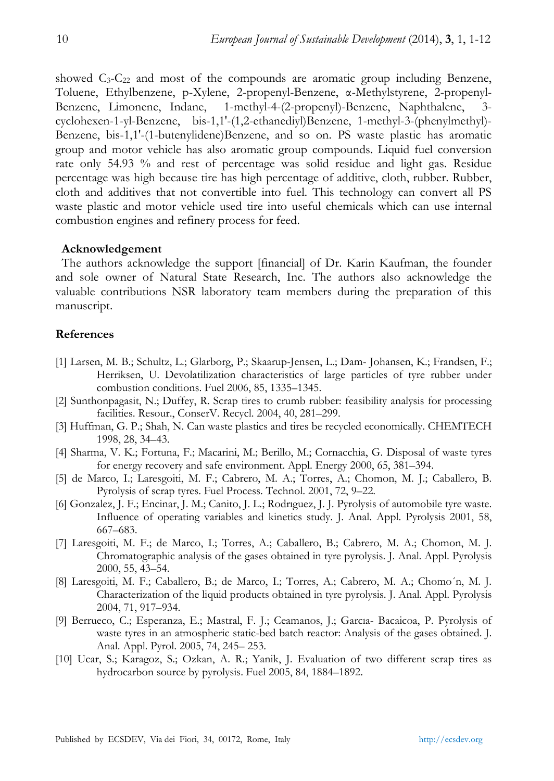showed  $C_3-C_{22}$  and most of the compounds are aromatic group including Benzene, Toluene, Ethylbenzene, p-Xylene, 2-propenyl-Benzene, α-Methylstyrene, 2-propenyl-Benzene, Limonene, Indane, 1-methyl-4-(2-propenyl)-Benzene, Naphthalene, 3 cyclohexen-1-yl-Benzene, bis-1,1'-(1,2-ethanediyl)Benzene, 1-methyl-3-(phenylmethyl)- Benzene, bis-1,1'-(1-butenylidene)Benzene, and so on. PS waste plastic has aromatic group and motor vehicle has also aromatic group compounds. Liquid fuel conversion rate only 54.93 % and rest of percentage was solid residue and light gas. Residue percentage was high because tire has high percentage of additive, cloth, rubber. Rubber, cloth and additives that not convertible into fuel. This technology can convert all PS waste plastic and motor vehicle used tire into useful chemicals which can use internal combustion engines and refinery process for feed.

# **Acknowledgement**

The authors acknowledge the support [financial] of Dr. Karin Kaufman, the founder and sole owner of Natural State Research, Inc. The authors also acknowledge the valuable contributions NSR laboratory team members during the preparation of this manuscript.

#### **References**

- [1] Larsen, M. B.; Schultz, L.; Glarborg, P.; Skaarup-Jensen, L.; Dam- Johansen, K.; Frandsen, F.; Herriksen, U. Devolatilization characteristics of large particles of tyre rubber under combustion conditions. Fuel 2006, 85, 1335–1345.
- [2] Sunthonpagasit, N.; Duffey, R. Scrap tires to crumb rubber: feasibility analysis for processing facilities. Resour., ConserV. Recycl. 2004, 40, 281–299.
- [3] Huffman, G. P.; Shah, N. Can waste plastics and tires be recycled economically. CHEMTECH 1998, 28, 34–43.
- [4] Sharma, V. K.; Fortuna, F.; Macarini, M.; Berillo, M.; Cornacchia, G. Disposal of waste tyres for energy recovery and safe environment. Appl. Energy 2000, 65, 381–394.
- [5] de Marco, I.; Laresgoiti, M. F.; Cabrero, M. A.; Torres, A.; Chomon, M. J.; Caballero, B. Pyrolysis of scrap tyres. Fuel Process. Technol. 2001, 72, 9–22.
- [6] Gonzalez, J. F.; Encinar, J. M.; Canito, J. L.; Rodrıguez, J. J. Pyrolysis of automobile tyre waste. Influence of operating variables and kinetics study. J. Anal. Appl. Pyrolysis 2001, 58, 667–683.
- [7] Laresgoiti, M. F.; de Marco, I.; Torres, A.; Caballero, B.; Cabrero, M. A.; Chomon, M. J. Chromatographic analysis of the gases obtained in tyre pyrolysis. J. Anal. Appl. Pyrolysis 2000, 55, 43–54.
- [8] Laresgoiti, M. F.; Caballero, B.; de Marco, I.; Torres, A.; Cabrero, M. A.; Chomo´n, M. J. Characterization of the liquid products obtained in tyre pyrolysis. J. Anal. Appl. Pyrolysis 2004, 71, 917–934.
- [9] Berrueco, C.; Esperanza, E.; Mastral, F. J.; Ceamanos, J.; Garcıa- Bacaicoa, P. Pyrolysis of waste tyres in an atmospheric static-bed batch reactor: Analysis of the gases obtained. J. Anal. Appl. Pyrol. 2005, 74, 245– 253.
- [10] Ucar, S.; Karagoz, S.; Ozkan, A. R.; Yanik, J. Evaluation of two different scrap tires as hydrocarbon source by pyrolysis. Fuel 2005, 84, 1884–1892.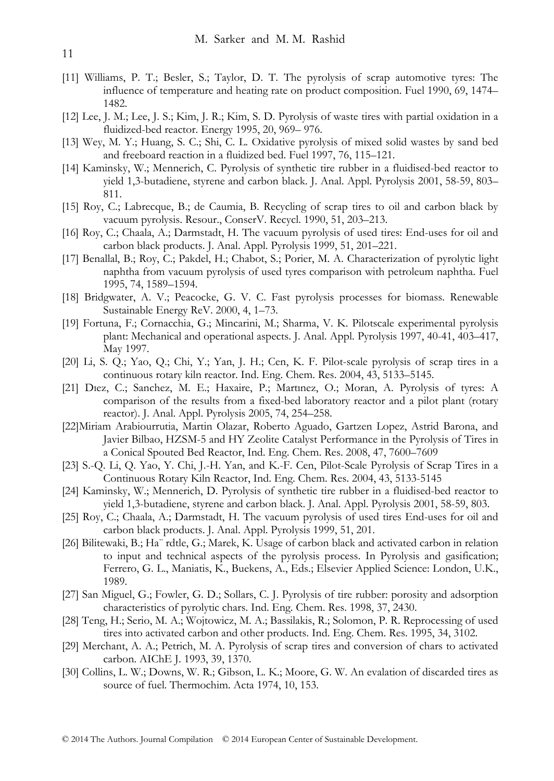- [11] Williams, P. T.; Besler, S.; Taylor, D. T. The pyrolysis of scrap automotive tyres: The influence of temperature and heating rate on product composition. Fuel 1990, 69, 1474– 1482.
- [12] Lee, J. M.; Lee, J. S.; Kim, J. R.; Kim, S. D. Pyrolysis of waste tires with partial oxidation in a fluidized-bed reactor. Energy 1995, 20, 969– 976.
- [13] Wey, M. Y.; Huang, S. C.; Shi, C. L. Oxidative pyrolysis of mixed solid wastes by sand bed and freeboard reaction in a fluidized bed. Fuel 1997, 76, 115–121.
- [14] Kaminsky, W.; Mennerich, C. Pyrolysis of synthetic tire rubber in a fluidised-bed reactor to yield 1,3-butadiene, styrene and carbon black. J. Anal. Appl. Pyrolysis 2001, 58-59, 803– 811.
- [15] Roy, C.; Labrecque, B.; de Caumia, B. Recycling of scrap tires to oil and carbon black by vacuum pyrolysis. Resour., ConserV. Recycl. 1990, 51, 203–213.
- [16] Roy, C.; Chaala, A.; Darmstadt, H. The vacuum pyrolysis of used tires: End-uses for oil and carbon black products. J. Anal. Appl. Pyrolysis 1999, 51, 201–221.
- [17] Benallal, B.; Roy, C.; Pakdel, H.; Chabot, S.; Porier, M. A. Characterization of pyrolytic light naphtha from vacuum pyrolysis of used tyres comparison with petroleum naphtha. Fuel 1995, 74, 1589–1594.
- [18] Bridgwater, A. V.; Peacocke, G. V. C. Fast pyrolysis processes for biomass. Renewable Sustainable Energy ReV. 2000, 4, 1–73.
- [19] Fortuna, F.; Cornacchia, G.; Mincarini, M.; Sharma, V. K. Pilotscale experimental pyrolysis plant: Mechanical and operational aspects. J. Anal. Appl. Pyrolysis 1997, 40-41, 403–417, May 1997.
- [20] Li, S. Q.; Yao, Q.; Chi, Y.; Yan, J. H.; Cen, K. F. Pilot-scale pyrolysis of scrap tires in a continuous rotary kiln reactor. Ind. Eng. Chem. Res. 2004, 43, 5133–5145.
- [21] Dıez, C.; Sanchez, M. E.; Haxaire, P.; Martınez, O.; Moran, A. Pyrolysis of tyres: A comparison of the results from a fixed-bed laboratory reactor and a pilot plant (rotary reactor). J. Anal. Appl. Pyrolysis 2005, 74, 254–258.
- [22]Miriam Arabiourrutia, Martin Olazar, Roberto Aguado, Gartzen Lopez, Astrid Barona, and Javier Bilbao, HZSM-5 and HY Zeolite Catalyst Performance in the Pyrolysis of Tires in a Conical Spouted Bed Reactor, Ind. Eng. Chem. Res. 2008, 47, 7600–7609
- [23] S.-Q. Li, Q. Yao, Y. Chi, J.-H. Yan, and K.-F. Cen, Pilot-Scale Pyrolysis of Scrap Tires in a Continuous Rotary Kiln Reactor, Ind. Eng. Chem. Res. 2004, 43, 5133-5145
- [24] Kaminsky, W.; Mennerich, D. Pyrolysis of synthetic tire rubber in a fluidised-bed reactor to yield 1,3-butadiene, styrene and carbon black. J. Anal. Appl. Pyrolysis 2001, 58-59, 803.
- [25] Roy, C.; Chaala, A.; Darmstadt, H. The vacuum pyrolysis of used tires End-uses for oil and carbon black products. J. Anal. Appl. Pyrolysis 1999, 51, 201.
- [26] Bilitewaki, B.; Ha¨ rdtle, G.; Marek, K. Usage of carbon black and activated carbon in relation to input and technical aspects of the pyrolysis process. In Pyrolysis and gasification; Ferrero, G. L., Maniatis, K., Buekens, A., Eds.; Elsevier Applied Science: London, U.K., 1989.
- [27] San Miguel, G.; Fowler, G. D.; Sollars, C. J. Pyrolysis of tire rubber: porosity and adsorption characteristics of pyrolytic chars. Ind. Eng. Chem. Res. 1998, 37, 2430.
- [28] Teng, H.; Serio, M. A.; Wojtowicz, M. A.; Bassilakis, R.; Solomon, P. R. Reprocessing of used tires into activated carbon and other products. Ind. Eng. Chem. Res. 1995, 34, 3102.
- [29] Merchant, A. A.; Petrich, M. A. Pyrolysis of scrap tires and conversion of chars to activated carbon. AIChE J. 1993, 39, 1370.
- [30] Collins, L. W.; Downs, W. R.; Gibson, L. K.; Moore, G. W. An evalation of discarded tires as source of fuel. Thermochim. Acta 1974, 10, 153.